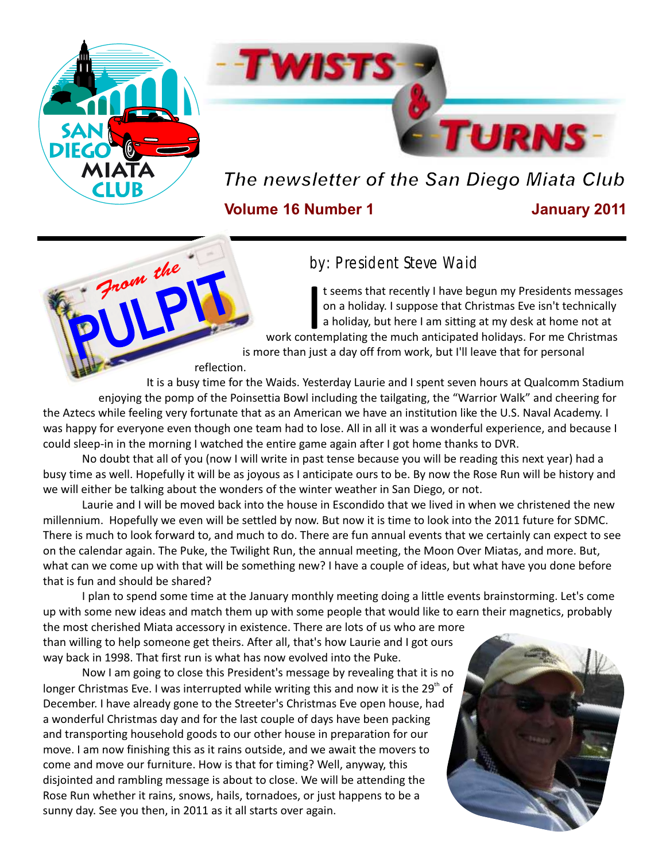

PULPIT

*From the*



# *The newsletter of the San Diego Miata Club*

#### **Volume 16 Number 1 January 2011**

### by: President Steve Waid

t seems that recently I have begun my Presidents messages on a holiday. I suppose that Christmas Eve isn't technically<br>In holiday, but here I am sitting at my desk at home not at work contemplating the much anticipated holidays. For me Christmas is more than just a day off from work, but I'll leave that for personal

reflection.

It is a busy time for the Waids. Yesterday Laurie and I spent seven hours at Qualcomm Stadium enjoying the pomp of the Poinsettia Bowl including the tailgating, the "Warrior Walk" and cheering for the Aztecs while feeling very fortunate that as an American we have an institution like the U.S. Naval Academy. I was happy for everyone even though one team had to lose. All in all it was a wonderful experience, and because I could sleep-in in the morning I watched the entire game again after I got home thanks to DVR.

No doubt that all of you (now I will write in past tense because you will be reading this next year) had a busy time as well. Hopefully it will be as joyous as I anticipate ours to be. By now the Rose Run will be history and we will either be talking about the wonders of the winter weather in San Diego, or not.

Laurie and I will be moved back into the house in Escondido that we lived in when we christened the new millennium. Hopefully we even will be settled by now. But now it is time to look into the 2011 future for SDMC. There is much to look forward to, and much to do. There are fun annual events that we certainly can expect to see on the calendar again. The Puke, the Twilight Run, the annual meeting, the Moon Over Miatas, and more. But, what can we come up with that will be something new? I have a couple of ideas, but what have you done before that is fun and should be shared?

I plan to spend some time at the January monthly meeting doing a little events brainstorming. Let's come up with some new ideas and match them up with some people that would like to earn their magnetics, probably the most cherished Miata accessory in existence. There are lots of us who are more

than willing to help someone get theirs. After all, that's how Laurie and I got ours way back in 1998. That first run is what has now evolved into the Puke.

Now I am going to close this President's message by revealing that it is no longer Christmas Eve. I was interrupted while writing this and now it is the 29 $^{\circ}$  of December. I have already gone to the Streeter's Christmas Eve open house, had a wonderful Christmas day and for the last couple of days have been packing and transporting household goods to our other house in preparation for our move. I am now finishing this as it rains outside, and we await the movers to come and move our furniture. How is that for timing? Well, anyway, this disjointed and rambling message is about to close. We will be attending the Rose Run whether it rains, snows, hails, tornadoes, or just happens to be a sunny day. See you then, in 2011 as it all starts over again.

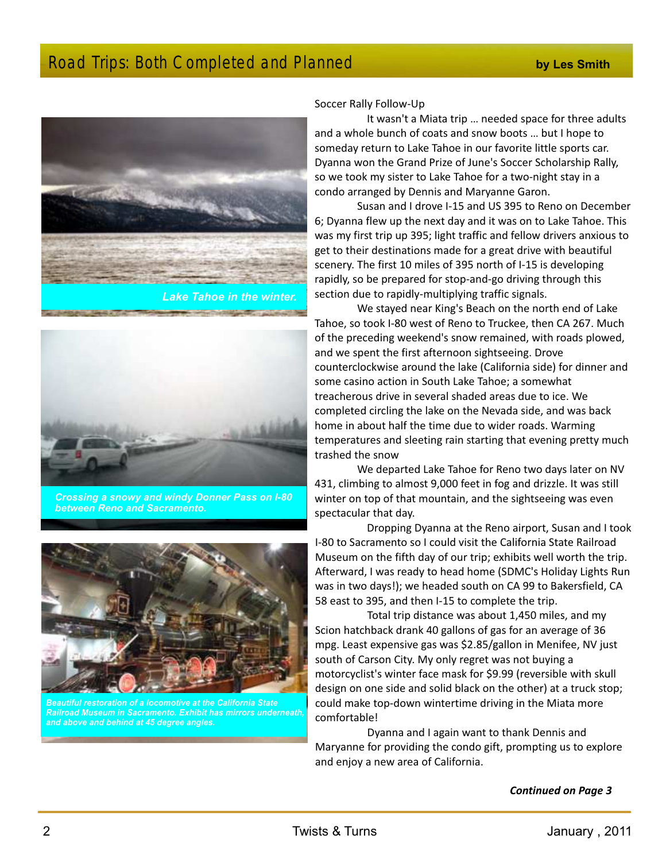### Road Trips: Both Completed and Planned **by Les Smith by Les Smith**





**DISTURBANCE OF CONSUMING** 

*Crossing a snowy and windy Donner Pass on I-80 between Reno and Sacramento.*



*Beautiful restoration of a locomotive at the California State Railroad Museum in Sacramento. Exhibit has mirrors underneath, and above and behind at 45 degree angles.*

Soccer Rally Follow-Up

It wasn't a Miata trip … needed space for three adults and a whole bunch of coats and snow boots … but I hope to someday return to Lake Tahoe in our favorite little sports car. Dyanna won the Grand Prize of June's Soccer Scholarship Rally, so we took my sister to Lake Tahoe for a two-night stay in a condo arranged by Dennis and Maryanne Garon.

Susan and I drove I-15 and US 395 to Reno on December 6; Dyanna flew up the next day and it was on to Lake Tahoe. This was my first trip up 395; light traffic and fellow drivers anxious to get to their destinations made for a great drive with beautiful scenery. The first 10 miles of 395 north of I-15 is developing rapidly, so be prepared for stop-and-go driving through this section due to rapidly-multiplying traffic signals.

We stayed near King's Beach on the north end of Lake Tahoe, so took I-80 west of Reno to Truckee, then CA 267. Much of the preceding weekend's snow remained, with roads plowed, and we spent the first afternoon sightseeing. Drove counterclockwise around the lake (California side) for dinner and some casino action in South Lake Tahoe; a somewhat treacherous drive in several shaded areas due to ice. We completed circling the lake on the Nevada side, and was back home in about half the time due to wider roads. Warming temperatures and sleeting rain starting that evening pretty much trashed the snow

We departed Lake Tahoe for Reno two days later on NV 431, climbing to almost 9,000 feet in fog and drizzle. It was still winter on top of that mountain, and the sightseeing was even spectacular that day.

Dropping Dyanna at the Reno airport, Susan and I took I-80 to Sacramento so I could visit the California State Railroad Museum on the fifth day of our trip; exhibits well worth the trip. Afterward, I was ready to head home (SDMC's Holiday Lights Run was in two days!); we headed south on CA 99 to Bakersfield, CA 58 east to 395, and then I-15 to complete the trip.

Total trip distance was about 1,450 miles, and my Scion hatchback drank 40 gallons of gas for an average of 36 mpg. Least expensive gas was \$2.85/gallon in Menifee, NV just south of Carson City. My only regret was not buying a motorcyclist's winter face mask for \$9.99 (reversible with skull design on one side and solid black on the other) at a truck stop; could make top-down wintertime driving in the Miata more comfortable!

Dyanna and I again want to thank Dennis and Maryanne for providing the condo gift, prompting us to explore and enjoy a new area of California.

#### *Continued on Page 3*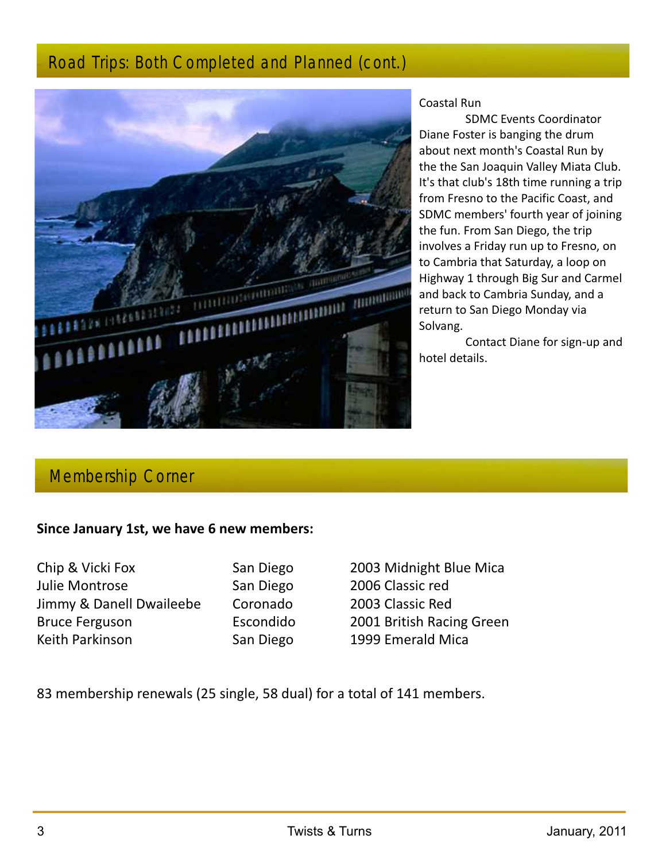### Road Trips: Both Completed and Planned (cont.)



#### Coastal Run

SDMC Events Coordinator Diane Foster is banging the drum about next month's Coastal Run by the the San Joaquin Valley Miata Club. It's that club's 18th time running a trip from Fresno to the Pacific Coast, and SDMC members' fourth year of joining the fun. From San Diego, the trip involves a Friday run up to Fresno, on to Cambria that Saturday, a loop on Highway 1 through Big Sur and Carmel and back to Cambria Sunday, and a return to San Diego Monday via Solvang.

Contact Diane for sign-up and hotel details.

### Membership Corner

#### **Since January 1st, we have 6 new members:**

Chip & Vicki Fox San Diego 2003 Midnight Blue Mica Julie Montrose San Diego 2006 Classic red Jimmy & Danell Dwaileebe Coronado 2003 Classic Red Bruce Ferguson Escondido 2001 British Racing Green Keith Parkinson **San Diego** 1999 Emerald Mica

83 membership renewals (25 single, 58 dual) for a total of 141 members.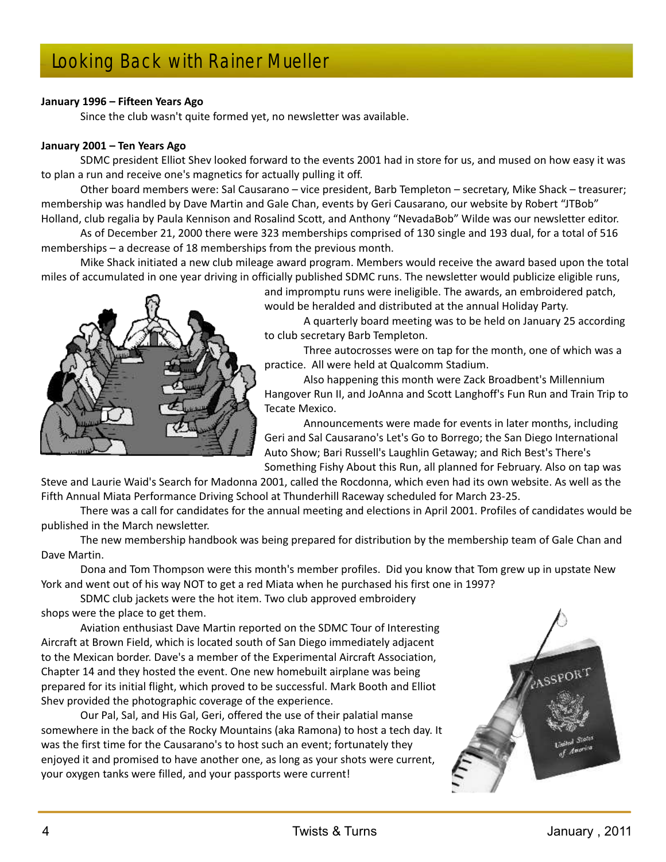# Looking Back with Rainer Mueller

#### **January 1996 – Fifteen Years Ago**

Since the club wasn't quite formed yet, no newsletter was available.

#### **January 2001 – Ten Years Ago**

SDMC president Elliot Shev looked forward to the events 2001 had in store for us, and mused on how easy it was to plan a run and receive one's magnetics for actually pulling it off.

Other board members were: Sal Causarano – vice president, Barb Templeton – secretary, Mike Shack – treasurer; membership was handled by Dave Martin and Gale Chan, events by Geri Causarano, our website by Robert "JTBob" Holland, club regalia by Paula Kennison and Rosalind Scott, and Anthony "NevadaBob" Wilde was our newsletter editor.

As of December 21, 2000 there were 323 memberships comprised of 130 single and 193 dual, for a total of 516 memberships – a decrease of 18 memberships from the previous month.

Mike Shack initiated a new club mileage award program. Members would receive the award based upon the total miles of accumulated in one year driving in officially published SDMC runs. The newsletter would publicize eligible runs,



and impromptu runs were ineligible. The awards, an embroidered patch, would be heralded and distributed at the annual Holiday Party.

A quarterly board meeting was to be held on January 25 according

to club secretary Barb Templeton.

Three autocrosses were on tap for the month, one of which was a practice. All were held at Qualcomm Stadium.

Also happening this month were Zack Broadbent's Millennium Hangover Run II, and JoAnna and Scott Langhoff's Fun Run and Train Trip to Tecate Mexico.

Announcements were made for events in later months, including Geri and Sal Causarano's Let's Go to Borrego; the San Diego International Auto Show; Bari Russell's Laughlin Getaway; and Rich Best's There's Something Fishy About this Run, all planned for February. Also on tap was

Steve and Laurie Waid's Search for Madonna 2001, called the Rocdonna, which even had its own website. As well as the Fifth Annual Miata Performance Driving School at Thunderhill Raceway scheduled for March 23-25.

There was a call for candidates for the annual meeting and elections in April 2001. Profiles of candidates would be published in the March newsletter.

The new membership handbook was being prepared for distribution by the membership team of Gale Chan and Dave Martin.

Dona and Tom Thompson were this month's member profiles. Did you know that Tom grew up in upstate New York and went out of his way NOT to get a red Miata when he purchased his first one in 1997?

SDMC club jackets were the hot item. Two club approved embroidery shops were the place to get them.

Aviation enthusiast Dave Martin reported on the SDMC Tour of Interesting Aircraft at Brown Field, which is located south of San Diego immediately adjacent to the Mexican border. Dave's a member of the Experimental Aircraft Association, Chapter 14 and they hosted the event. One new homebuilt airplane was being prepared for its initial flight, which proved to be successful. Mark Booth and Elliot Shev provided the photographic coverage of the experience.

Our Pal, Sal, and His Gal, Geri, offered the use of their palatial manse somewhere in the back of the Rocky Mountains (aka Ramona) to host a tech day. It was the first time for the Causarano's to host such an event; fortunately they enjoyed it and promised to have another one, as long as your shots were current, your oxygen tanks were filled, and your passports were current!

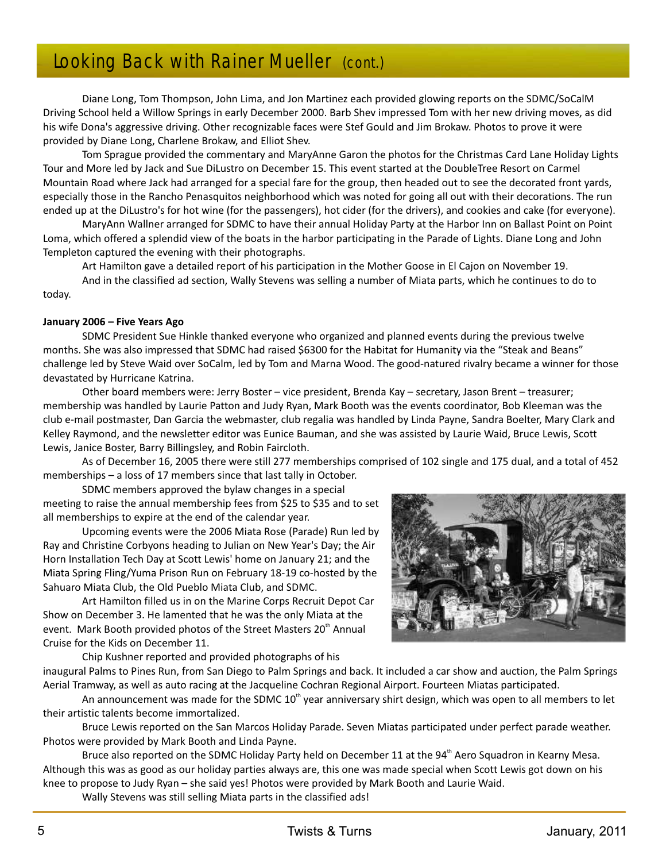# Looking Back with Rainer Mueller (cont.)

Diane Long, Tom Thompson, John Lima, and Jon Martinez each provided glowing reports on the SDMC/SoCalM Driving School held a Willow Springs in early December 2000. Barb Shev impressed Tom with her new driving moves, as did his wife Dona's aggressive driving. Other recognizable faces were Stef Gould and Jim Brokaw. Photos to prove it were provided by Diane Long, Charlene Brokaw, and Elliot Shev.

Tom Sprague provided the commentary and MaryAnne Garon the photos for the Christmas Card Lane Holiday Lights Tour and More led by Jack and Sue DiLustro on December 15. This event started at the DoubleTree Resort on Carmel Mountain Road where Jack had arranged for a special fare for the group, then headed out to see the decorated front yards, especially those in the Rancho Penasquitos neighborhood which was noted for going all out with their decorations. The run ended up at the DiLustro's for hot wine (for the passengers), hot cider (for the drivers), and cookies and cake (for everyone).

MaryAnn Wallner arranged for SDMC to have their annual Holiday Party at the Harbor Inn on Ballast Point on Point Loma, which offered a splendid view of the boats in the harbor participating in the Parade of Lights. Diane Long and John Templeton captured the evening with their photographs.

Art Hamilton gave a detailed report of his participation in the Mother Goose in El Cajon on November 19. And in the classified ad section, Wally Stevens was selling a number of Miata parts, which he continues to do to today.

#### **January 2006 – Five Years Ago**

SDMC President Sue Hinkle thanked everyone who organized and planned events during the previous twelve months. She was also impressed that SDMC had raised \$6300 for the Habitat for Humanity via the "Steak and Beans" challenge led by Steve Waid over SoCalm, led by Tom and Marna Wood. The good-natured rivalry became a winner for those devastated by Hurricane Katrina.

Other board members were: Jerry Boster – vice president, Brenda Kay – secretary, Jason Brent – treasurer; membership was handled by Laurie Patton and Judy Ryan, Mark Booth was the events coordinator, Bob Kleeman was the club e-mail postmaster, Dan Garcia the webmaster, club regalia was handled by Linda Payne, Sandra Boelter, Mary Clark and Kelley Raymond, and the newsletter editor was Eunice Bauman, and she was assisted by Laurie Waid, Bruce Lewis, Scott Lewis, Janice Boster, Barry Billingsley, and Robin Faircloth.

As of December 16, 2005 there were still 277 memberships comprised of 102 single and 175 dual, and a total of 452 memberships – a loss of 17 members since that last tally in October.

SDMC members approved the bylaw changes in a special meeting to raise the annual membership fees from \$25 to \$35 and to set all memberships to expire at the end of the calendar year.

Upcoming events were the 2006 Miata Rose (Parade) Run led by Ray and Christine Corbyons heading to Julian on New Year's Day; the Air Horn Installation Tech Day at Scott Lewis' home on January 21; and the Miata Spring Fling/Yuma Prison Run on February 18-19 co-hosted by the Sahuaro Miata Club, the Old Pueblo Miata Club, and SDMC.

Art Hamilton filled us in on the Marine Corps Recruit Depot Car Show on December 3. He lamented that he was the only Miata at the event. Mark Booth provided photos of the Street Masters 20<sup>th</sup> Annual Cruise for the Kids on December 11.

Chip Kushner reported and provided photographs of his



inaugural Palms to Pines Run, from San Diego to Palm Springs and back. It included a car show and auction, the Palm Springs Aerial Tramway, as well as auto racing at the Jacqueline Cochran Regional Airport. Fourteen Miatas participated.

An announcement was made for the SDMC  $10<sup>th</sup>$  year anniversary shirt design, which was open to all members to let their artistic talents become immortalized.

Bruce Lewis reported on the San Marcos Holiday Parade. Seven Miatas participated under perfect parade weather. Photos were provided by Mark Booth and Linda Payne.

Bruce also reported on the SDMC Holiday Party held on December 11 at the 94<sup>th</sup> Aero Squadron in Kearny Mesa. Although this was as good as our holiday parties always are, this one was made special when Scott Lewis got down on his knee to propose to Judy Ryan – she said yes! Photos were provided by Mark Booth and Laurie Waid.

Wally Stevens was still selling Miata parts in the classified ads!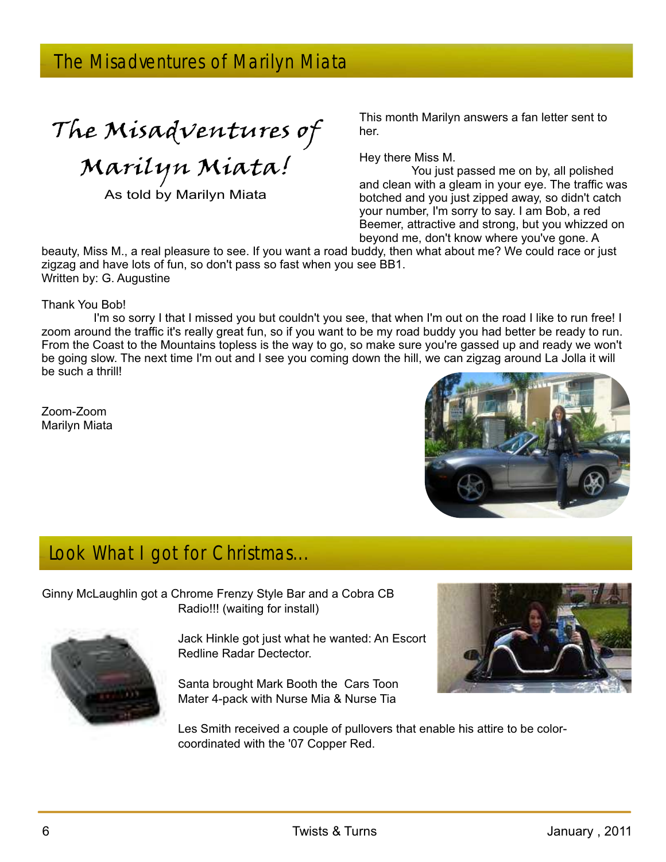The Misadventures of

Marilyn Miata!

As told by Marilyn Miata

This month Marilyn answers a fan letter sent to her.

Hey there Miss M.

You just passed me on by, all polished and clean with a gleam in your eye. The traffic was botched and you just zipped away, so didn't catch your number, I'm sorry to say. I am Bob, a red Beemer, attractive and strong, but you whizzed on beyond me, don't know where you've gone. A

beauty, Miss M., a real pleasure to see. If you want a road buddy, then what about me? We could race or just zigzag and have lots of fun, so don't pass so fast when you see BB1. Written by: G. Augustine

Thank You Bob!

I'm so sorry I that I missed you but couldn't you see, that when I'm out on the road I like to run free! I zoom around the traffic it's really great fun, so if you want to be my road buddy you had better be ready to run. From the Coast to the Mountains topless is the way to go, so make sure you're gassed up and ready we won't be going slow. The next time I'm out and I see you coming down the hill, we can zigzag around La Jolla it will be such a thrill!

Zoom-Zoom Marilyn Miata



# Look What I got for Christmas...

Ginny McLaughlin got a Chrome Frenzy Style Bar and a Cobra CB Radio!!! (waiting for install)

> Jack Hinkle got just what he wanted: An Escort Redline Radar Dectector.

Santa brought Mark Booth the Cars Toon Mater 4-pack with Nurse Mia & Nurse Tia



Les Smith received a couple of pullovers that enable his attire to be colorcoordinated with the '07 Copper Red.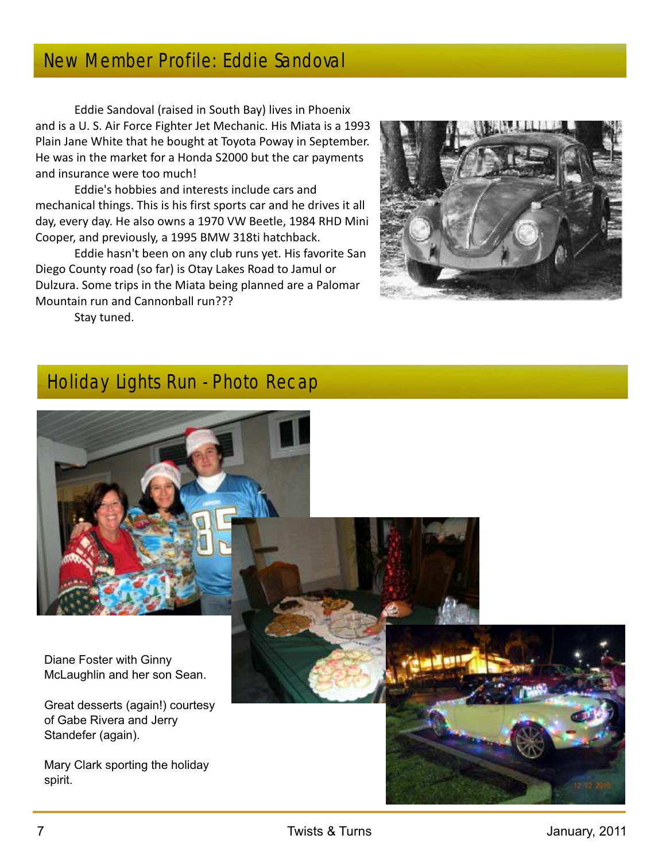## New Member Profile: Eddie Sandoval

Eddie Sandoval (raised in South Bay) lives in Phoenix and is a U. S. Air Force Fighter Jet Mechanic. His Miata is a 1993 Plain Jane White that he bought at Toyota Poway in September. He was in the market for a Honda S2000 but the car payments and insurance were too much!

Eddie's hobbies and interests include cars and mechanical things. This is his first sports car and he drives it all day, every day. He also owns a 1970 VW Beetle, 1984 RHD Mini Cooper, and previously, a 1995 BMW 318ti hatchback.

Eddie hasn't been on any club runs yet. His favorite San Diego County road (so far) is Otay Lakes Road to Jamul or Dulzura. Some trips in the Miata being planned are a Palomar Mountain run and Cannonball run???



Stay tuned.

# Holiday Lights Run - Photo Recap



Diane Foster with Ginny McLaughlin and her son Sean.

Great desserts (again!) courtesy of Gabe Rivera and Jerry Standefer (again).

Mary Clark sporting the holiday spirit.

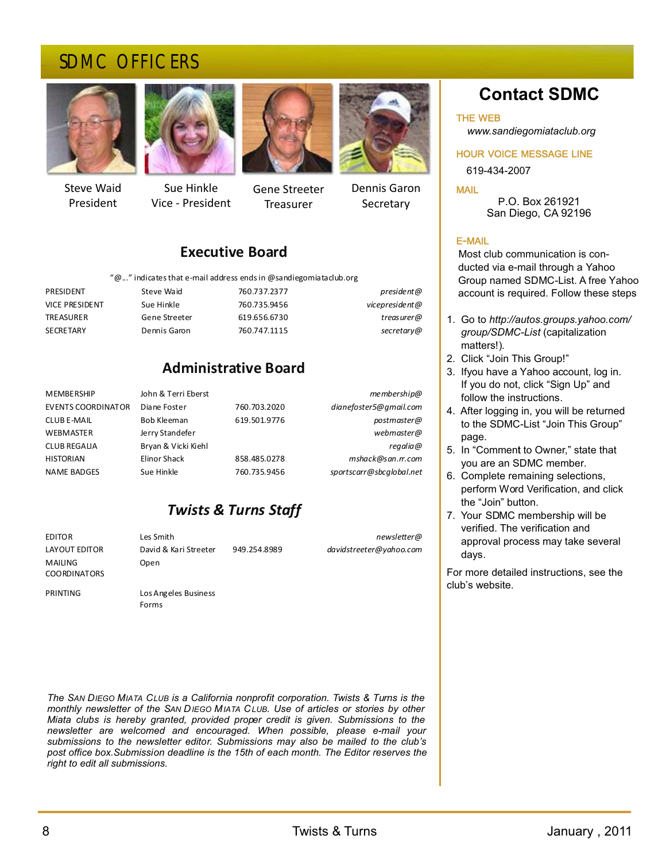### SDMC OFFICERS



Steve Waid President



Sue Hinkle Vice - President



Gene Streeter **Treasurer** 



Dennis Garon **Secretary** 

### **Executive Board**

" $@...$ " indicates that e-mail address ends in  $@$  sandiegomiataclub.org

| president@     | 760.737.2377 | Steve Waid    | PRESIDENT             |  |  |
|----------------|--------------|---------------|-----------------------|--|--|
| vicepresident@ | 760.735.9456 | Sue Hinkle    | <b>VICE PRESIDENT</b> |  |  |
| treasurer@     | 619.656.6730 | Gene Streeter | TREASURER             |  |  |
| secretary@     | 760.747.1115 | Dennis Garon  | <b>SECRETARY</b>      |  |  |

### **Administrative Board**

| membership@              |              | John & Terri Eberst | <b>MEMBERSHIP</b>         |
|--------------------------|--------------|---------------------|---------------------------|
| dianefoster5@gmail.com   | 760.703.2020 | Diane Foster        | <b>EVENTS COORDINATOR</b> |
| postmaster@              | 619.501.9776 | Bob Kleeman         | <b>CLUBE-MAIL</b>         |
| webmaster@               |              | Jerry Standefer     | <b>WEBMASTER</b>          |
| regalia@                 |              | Bryan & Vicki Kiehl | <b>CLUB REGALIA</b>       |
| mshack@san.rr.com        | 858.485.0278 | Elinor Shack        | <b>HISTORIAN</b>          |
| sportscarr@sbcqlobal.net | 760.735.9456 | Sue Hinkle          | <b>NAME BADGES</b>        |
|                          |              |                     |                           |

### *Twists & Turns Staff*

**MAILING** COORDINATORS

Open

Forms

PRINTING Los Angeles Business

EDITOR Les Smith *newsletter@* LAYOUT EDITOR David & Kari Streeter 949.254.8989 *davidstreeter@yahoo.com* **Contact SDMC** 

THE WEB

 *www.sandiegomiataclub.org*

HOUR VOICE MESSAGE LINE

619-434-2007

MAIL P.O. Box 261921 San Diego, CA 92196

#### E-MAIL

Most club communication is con ducted via e-mail through a Yahoo Group named SDMC-List. A free Yahoo account is required. Follow these steps

- 1. Go to *http://autos.groups.yahoo.com/ group/SDMC-List* (capitalization matters!).
- 2. Click "Join This Group!"
- 3. If you have a Yahoo account, log in. If you do not, click "Sign Up" and follow the instructions.
- 4. After logging in, you will be returned to the SDMC-List "Join This Group" page.
- 5. In "Comment to Owner," state that you are an SDMC member.
- 6. Complete remaining selections, perform Word Verification, and click the "Join" button.
- 7. Your SDMC membership will be verified. The verification and approval process may take several days.

For more detailed instructions, see the club's website.

*The SAN DIEGO MIATA CLUB is a California nonprofit corporation. Twists & Turns is the monthly newsletter of the SAN DIEGO MIATA CLUB. Use of articles or stories by other Miata clubs is hereby granted, provided proper credit is given. Submissions to the newsletter are welcomed and encouraged. When possible, please e-mail your submissions to the newsletter editor. Submissions may also be mailed to the club's post office box.Submission deadline is the 15th of each month. The Editor reserves the right to edit all submissions.*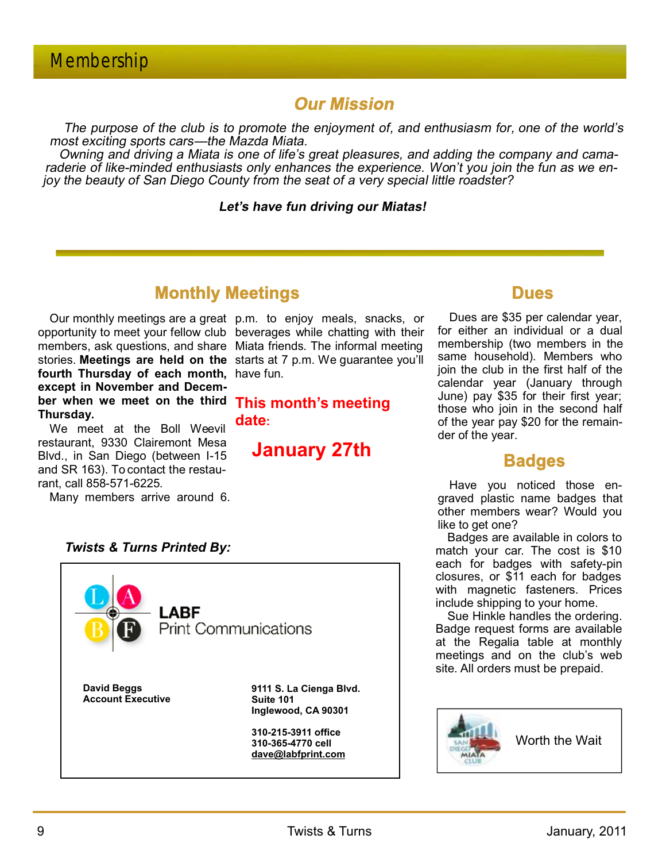### **Our Mission**

The purpose of the club is to promote the enjoyment of, and enthusiasm for, one of the world's most exciting sports cars—the Mazda Miata.

Owning and driving a Miata is one of life's great pleasures, and adding the company and camaraderie of like-minded enthusiasts only enhances the experience. Won't you join the fun as we enjoy the beauty of San Diego County from the seat of a very special little roadster?

#### **Let's have fun driving our Miatas!**

### **Monthly Meetings**

opportunity to meet your fellow club beverages while chatting with their members, ask questions, and share Miata friends. The informal meeting stories. **Meetings are held on the**  starts at 7 p.m. We guarantee you'll **fourth Thursday of each month,** have fun. **except in November and December when we meet on the third This month's meeting Thursday.**

We meet at the Boll Weevil restaurant, 9330 Clairemont Mesa Blvd., in San Diego (between I-15 and SR 163). To contact the restaurant, call 858-571-6225.

Many members arrive around 6.

*Twists & Turns Printed By:*

Our monthly meetings are a great p.m. to enjoy meals, snacks, or

**date:** 

**January 27th** 



Dues are \$35 per calendar year, for either an individual or a dual membership (two members in the same household). Members who join the club in the first half of the calendar year (January through June) pay \$35 for their first year; those who join in the second half of the year pay \$20 for the remainder of the year.

### **Badges**

Have you noticed those engraved plastic name badges that other members wear? Would you like to get one?

Badges are available in colors to match your car. The cost is \$10 each for badges with safety-pin closures, or \$11 each for badges with magnetic fasteners. Prices include shipping to your home.

Sue Hinkle handles the ordering. Badge request forms are available at the Regalia table at monthly meetings and on the club's web site. All orders must be prepaid.



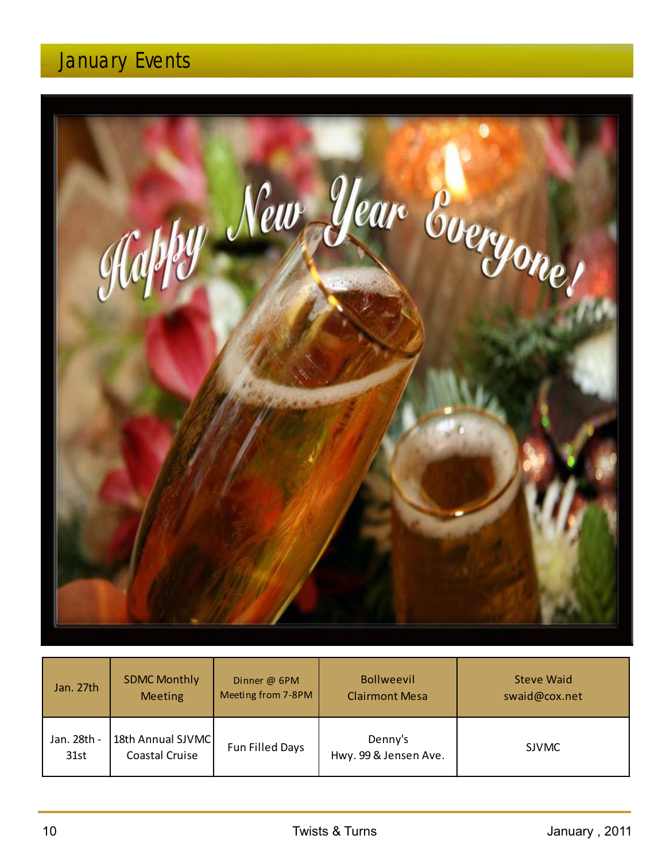# January Events



| Jan. 27th           | <b>SDMC Monthly</b>                 | Dinner @ 6PM       | <b>Bollweevil</b>                | <b>Steve Waid</b> |
|---------------------|-------------------------------------|--------------------|----------------------------------|-------------------|
|                     | <b>Meeting</b>                      | Meeting from 7-8PM | <b>Clairmont Mesa</b>            | swaid@cox.net     |
| Jan. 28th -<br>31st | 18th Annual SJVMC<br>Coastal Cruise | Fun Filled Days    | Denny's<br>Hwy. 99 & Jensen Ave. | <b>SJVMC</b>      |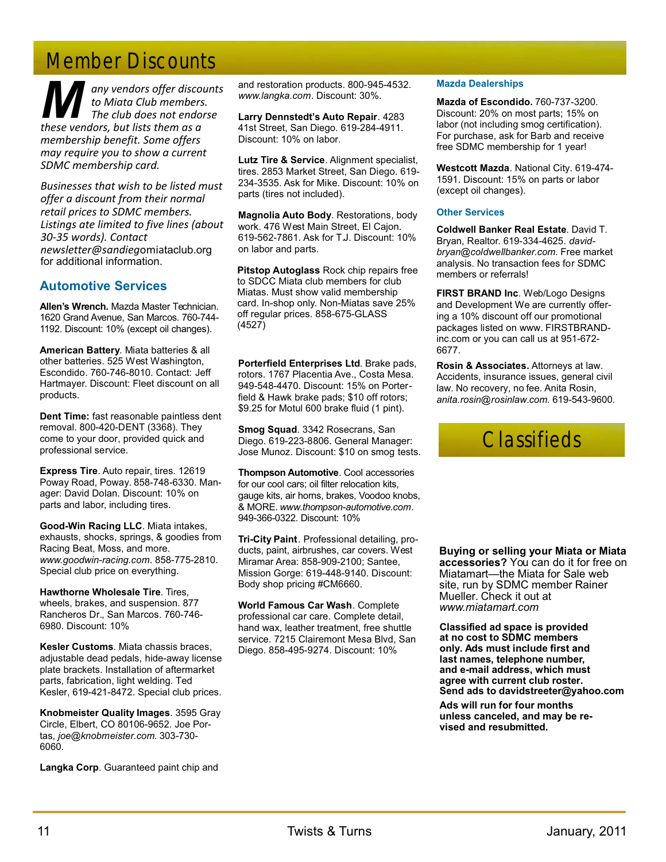# Member Discounts

*A any vendors offer discounts*<br> *to Miata Club members.*<br> *The club does not endorse*<br> *These vendors, but lists them as a these vendors, but lists them as a membership benefit. Some offers may require you to show a current SDMC membership card.*

*Businesses that wish to be listed must offer a discount from their normal retail prices to SDMC members. Listings ate limited to five lines (about 30-35 words). Contact newsletter@sandieg*omiataclub.org for additional information.

#### **Automotive Services**

**Allen's Wrench.** Mazda Master Technician. 1620 Grand Avenue, San Marcos. 760-744- 1192. Discount: 10% (except oil changes).

**American Battery**. Miata batteries & all other batteries. 525 West Washington, Escondido. 760-746-8010. Contact: Jeff Hartmayer. Discount: Fleet discount on all products.

**Dent Time:** fast reasonable paintless dent removal. 800-420-DENT (3368). They come to your door, provided quick and professional service.

**Express Tire**. Auto repair, tires. 12619 Poway Road, Poway. 858-748-6330. Manager: David Dolan. Discount: 10% on parts and labor, including tires.

**Good-Win Racing LLC**. Miata intakes, exhausts, shocks, springs, & goodies from Racing Beat, Moss, and more. *www.goodwin-racing.com*. 858-775-2810. Special club price on everything.

**Hawthorne Wholesale Tire**. Tires, wheels, brakes, and suspension. 877 Rancheros Dr., San Marcos. 760-746- 6980. Discount: 10%

**Kesler Customs**. Miata chassis braces, adjustable dead pedals, hide-away license plate brackets. Installation of aftermarket parts, fabrication, light welding. Ted Kesler, 619-421-8472. Special club prices.

**Knobmeister Quality Images**. 3595 Gray Circle, Elbert, CO 80106-9652. Joe Portas, *joe@knobmeister.com*. 303-730- 6060.

**Langka Corp**. Guaranteed paint chip and

and restoration products. 800-945-4532. *www.langka.com*. Discount: 30%.

**Larry Dennstedt's Auto Repair**. 4283 41st Street, San Diego. 619-284-4911. Discount: 10% on labor.

**Lutz Tire & Service**. Alignment specialist, tires. 2853 Market Street, San Diego. 619- 234-3535. Ask for Mike. Discount: 10% on parts (tires not included).

**Magnolia Auto Body**. Restorations, body work. 476 West Main Street, El Cajon. 619-562-7861. Ask for T.J. Discount: 10% on labor and parts.

**Pitstop Autoglass** Rock chip repairs free to SDCC Miata club members for club Miatas. Must show valid membership card. In-shop only. Non-Miatas save 25% off regular prices. 858-675-GLASS (4527)

**Porterfield Enterprises Ltd**. Brake pads, rotors. 1767 Placentia Ave., Costa Mesa. 949-548-4470. Discount: 15% on Porterfield & Hawk brake pads; \$10 off rotors; \$9.25 for Motul 600 brake fluid (1 pint).

**Smog Squad**. 3342 Rosecrans, San Diego. 619-223-8806. General Manager: Jose Munoz. Discount: \$10 on smog tests.

**Thompson Automotive**. Cool accessories for our cool cars; oil filter relocation kits, gauge kits, air horns, brakes, Voodoo knobs, & MORE. *www.thompson-automotive.com*. 949-366-0322. Discount: 10%

**Tri-City Paint**. Professional detailing, products, paint, airbrushes, car covers. West Miramar Area: 858-909-2100; Santee, Mission Gorge: 619-448-9140. Discount: Body shop pricing #CM6660.

**World Famous Car Wash**. Complete professional car care. Complete detail, hand wax, leather treatment, free shuttle service. 7215 Clairemont Mesa Blvd, San Diego. 858-495-9274. Discount: 10%

#### **Mazda Dealerships**

**Mazda of Escondido.** 760-737-3200. Discount: 20% on most parts; 15% on labor (not including smog certification). For purchase, ask for Barb and receive free SDMC membership for 1 year!

**Westcott Mazda**. National City. 619-474- 1591. Discount: 15% on parts or labor (except oil changes).

#### **Other Services**

**Coldwell Banker Real Estate**. David T. Bryan, Realtor. 619-334-4625. *davidbryan@coldwellbanker.com*. Free market analysis. No transaction fees for SDMC members or referrals!

**FIRST BRAND Inc**. Web/Logo Designs and Development We are currently offering a 10% discount off our promotional packages listed on www. FIRSTBRANDinc.com or you can call us at 951-672- 6677.

**Rosin & Associates.** Attorneys at law. Accidents, insurance issues, general civil law. No recovery, no fee. Anita Rosin, *anita.rosin@rosinlaw.com*. 619-543-9600.



**Buying or selling your Miata or Miata accessories?** You can do it for free on Miatamart—the Miata for Sale web site, run by SDMC member Rainer Mueller. Check it out at *www.miatamart.com*

**Cl . assified ad space is provided at no cost to SDMC members only. Ads must include first and last names, telephone number, and e-mail address, which must agree with current club roster. Send ads to davidstreeter@yahoo.com**

**Ads will run for four months unless canceled, and may be revised and resubmitted.**